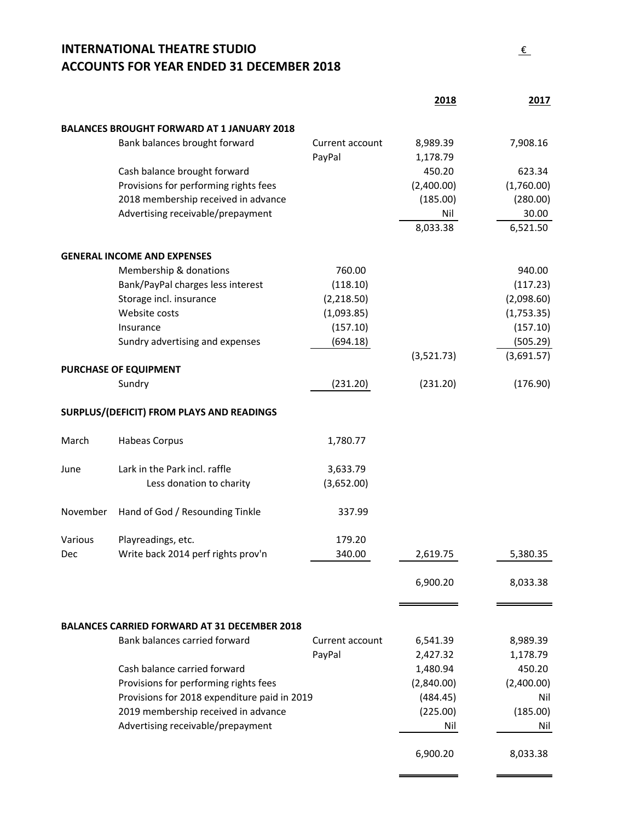## **INTERNATIONAL THEATRE STUDIO** € **ACCOUNTS FOR YEAR ENDED 31 DECEMBER 2018**

|          |                                                     |                 | 2018               | 2017       |
|----------|-----------------------------------------------------|-----------------|--------------------|------------|
|          |                                                     |                 |                    |            |
|          | <b>BALANCES BROUGHT FORWARD AT 1 JANUARY 2018</b>   |                 |                    |            |
|          | Bank balances brought forward                       | Current account | 8,989.39           | 7,908.16   |
|          | Cash balance brought forward                        | PayPal          | 1,178.79<br>450.20 | 623.34     |
|          | Provisions for performing rights fees               |                 | (2,400.00)         | (1,760.00) |
|          | 2018 membership received in advance                 |                 | (185.00)           | (280.00)   |
|          |                                                     |                 |                    | 30.00      |
|          | Advertising receivable/prepayment                   |                 | Nil<br>8,033.38    | 6,521.50   |
|          |                                                     |                 |                    |            |
|          | <b>GENERAL INCOME AND EXPENSES</b>                  |                 |                    |            |
|          | Membership & donations                              | 760.00          |                    | 940.00     |
|          | Bank/PayPal charges less interest                   | (118.10)        |                    | (117.23)   |
|          | Storage incl. insurance                             | (2,218.50)      |                    | (2,098.60) |
|          | Website costs                                       | (1,093.85)      |                    | (1,753.35) |
|          | Insurance                                           | (157.10)        |                    | (157.10)   |
|          | Sundry advertising and expenses                     | (694.18)        |                    | (505.29)   |
|          |                                                     |                 | (3,521.73)         | (3,691.57) |
|          | PURCHASE OF EQUIPMENT                               |                 |                    |            |
|          | Sundry                                              | (231.20)        | (231.20)           | (176.90)   |
|          | SURPLUS/(DEFICIT) FROM PLAYS AND READINGS           |                 |                    |            |
|          |                                                     |                 |                    |            |
| March    | Habeas Corpus                                       | 1,780.77        |                    |            |
| June     | Lark in the Park incl. raffle                       | 3,633.79        |                    |            |
|          | Less donation to charity                            | (3,652.00)      |                    |            |
|          |                                                     |                 |                    |            |
| November | Hand of God / Resounding Tinkle                     | 337.99          |                    |            |
| Various  | Playreadings, etc.                                  | 179.20          |                    |            |
| Dec      | Write back 2014 perf rights prov'n                  | 340.00          | 2,619.75           | 5,380.35   |
|          |                                                     |                 |                    |            |
|          |                                                     |                 | 6,900.20           | 8,033.38   |
|          |                                                     |                 |                    |            |
|          |                                                     |                 |                    |            |
|          | <b>BALANCES CARRIED FORWARD AT 31 DECEMBER 2018</b> |                 |                    |            |
|          | Bank balances carried forward                       | Current account | 6,541.39           | 8,989.39   |
|          |                                                     | PayPal          | 2,427.32           | 1,178.79   |
|          | Cash balance carried forward                        |                 | 1,480.94           | 450.20     |
|          | Provisions for performing rights fees               |                 | (2,840.00)         | (2,400.00) |
|          | Provisions for 2018 expenditure paid in 2019        |                 | (484.45)           | Nil        |
|          | 2019 membership received in advance                 |                 | (225.00)           | (185.00)   |
|          | Advertising receivable/prepayment                   |                 | Nil                | Nil        |
|          |                                                     |                 | 6,900.20           | 8,033.38   |
|          |                                                     |                 |                    |            |